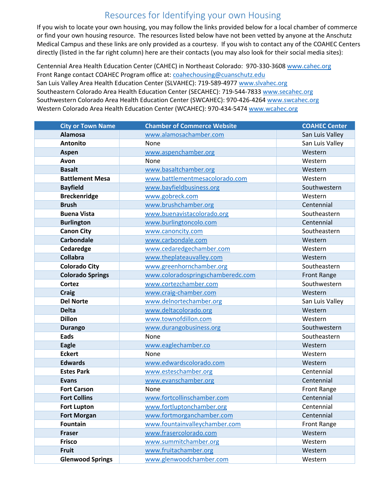## Resources for Identifying your own Housing

If you wish to locate your own housing, you may follow the links provided below for a local chamber of commerce or find your own housing resource. The resources listed below have not been vetted by anyone at the Anschutz Medical Campus and these links are only provided as a courtesy. If you wish to contact any of the COAHEC Centers directly (listed in the far right column) here are their contacts (you may also look for their social media sites):

Centennial Area Health Education Center (CAHEC) in Northeast Colorado: 970-330-3608 www.cahec.org Front Range contact COAHEC Program office at: coahechousing@cuanschutz.edu San Luis Valley Area Health Education Center (SLVAHEC): 719-589-4977 www.slvahec.org Southeastern Colorado Area Health Education Center (SECAHEC): 719-544-7833 www.secahec.org Southwestern Colorado Area Health Education Center (SWCAHEC): 970-426-4264 www.swcahec.org Western Colorado Area Health Education Center (WCAHEC): 970-434-5474 www.wcahec.org

| <b>City or Town Name</b> | <b>Chamber of Commerce Website</b> | <b>COAHEC Center</b> |
|--------------------------|------------------------------------|----------------------|
| <b>Alamosa</b>           | www.alamosachamber.com             | San Luis Valley      |
| <b>Antonito</b>          | None                               | San Luis Valley      |
| Aspen                    | www.aspenchamber.org               | Western              |
| Avon                     | None                               | Western              |
| <b>Basalt</b>            | www.basaltchamber.org              | Western              |
| <b>Battlement Mesa</b>   | www.battlementmesacolorado.com     | Western              |
| <b>Bayfield</b>          | www.bayfieldbusiness.org           | Southwestern         |
| <b>Breckenridge</b>      | www.gobreck.com                    | Western              |
| <b>Brush</b>             | www.brushchamber.org               | Centennial           |
| <b>Buena Vista</b>       | www.buenavistacolorado.org         | Southeastern         |
| <b>Burlington</b>        | www.burlingtoncolo.com             | Centennial           |
| <b>Canon City</b>        | www.canoncity.com                  | Southeastern         |
| <b>Carbondale</b>        | www.carbondale.com                 | Western              |
| Cedaredge                | www.cedaredgechamber.com           | Western              |
| <b>Collabra</b>          | www.theplateauvalley.com           | Western              |
| <b>Colorado City</b>     | www.greenhornchamber.org           | Southeastern         |
| <b>Colorado Springs</b>  | www.coloradospringschamberedc.com  | <b>Front Range</b>   |
| <b>Cortez</b>            | www.cortezchamber.com              | Southwestern         |
| <b>Craig</b>             | www.craig-chamber.com              | Western              |
| <b>Del Norte</b>         | www.delnortechamber.org            | San Luis Valley      |
| <b>Delta</b>             | www.deltacolorado.org              | Western              |
| <b>Dillon</b>            | www.townofdillon.com               | Western              |
| <b>Durango</b>           | www.durangobusiness.org            | Southwestern         |
| Eads                     | None                               | Southeastern         |
| <b>Eagle</b>             | www.eaglechamber.co                | Western              |
| <b>Eckert</b>            | None                               | Western              |
| <b>Edwards</b>           | www.edwardscolorado.com            | Western              |
| <b>Estes Park</b>        | www.esteschamber.org               | Centennial           |
| <b>Evans</b>             | www.evanschamber.org               | Centennial           |
| <b>Fort Carson</b>       | None                               | <b>Front Range</b>   |
| <b>Fort Collins</b>      | www.fortcollinschamber.com         | Centennial           |
| <b>Fort Lupton</b>       | www.fortluptonchamber.org          | Centennial           |
| <b>Fort Morgan</b>       | www.fortmorganchamber.com          | Centennial           |
| <b>Fountain</b>          | www.fountainvalleychamber.com      | <b>Front Range</b>   |
| <b>Fraser</b>            | www.frasercolorado.com             | Western              |
| <b>Frisco</b>            | www.summitchamber.org              | Western              |
| <b>Fruit</b>             | www.fruitachamber.org              | Western              |
| <b>Glenwood Springs</b>  | www.glenwoodchamber.com            | Western              |